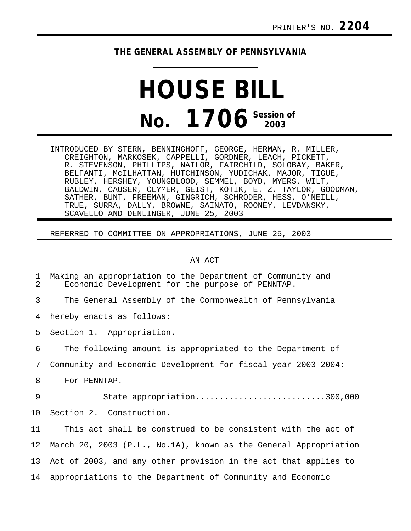## **THE GENERAL ASSEMBLY OF PENNSYLVANIA**

## **HOUSE BILL No. 1706 Session of 2003**

INTRODUCED BY STERN, BENNINGHOFF, GEORGE, HERMAN, R. MILLER, CREIGHTON, MARKOSEK, CAPPELLI, GORDNER, LEACH, PICKETT, R. STEVENSON, PHILLIPS, NAILOR, FAIRCHILD, SOLOBAY, BAKER, BELFANTI, McILHATTAN, HUTCHINSON, YUDICHAK, MAJOR, TIGUE, RUBLEY, HERSHEY, YOUNGBLOOD, SEMMEL, BOYD, MYERS, WILT, BALDWIN, CAUSER, CLYMER, GEIST, KOTIK, E. Z. TAYLOR, GOODMAN, SATHER, BUNT, FREEMAN, GINGRICH, SCHRODER, HESS, O'NEILL, TRUE, SURRA, DALLY, BROWNE, SAINATO, ROONEY, LEVDANSKY, SCAVELLO AND DENLINGER, JUNE 25, 2003

## REFERRED TO COMMITTEE ON APPROPRIATIONS, JUNE 25, 2003

## AN ACT

| $\mathbf 1$<br>2 | Making an appropriation to the Department of Community and<br>Economic Development for the purpose of PENNTAP. |
|------------------|----------------------------------------------------------------------------------------------------------------|
| 3                | The General Assembly of the Commonwealth of Pennsylvania                                                       |
| 4                | hereby enacts as follows:                                                                                      |
| 5                | Section 1. Appropriation.                                                                                      |
| 6                | The following amount is appropriated to the Department of                                                      |
| 7                | Community and Economic Development for fiscal year 2003-2004:                                                  |
| 8                | For PENNTAP.                                                                                                   |
| 9                | State appropriation300,000                                                                                     |
| 10               | Section 2. Construction.                                                                                       |
| 11               | This act shall be construed to be consistent with the act of                                                   |
| 12               | March 20, 2003 (P.L., No.1A), known as the General Appropriation                                               |
| 13               | Act of 2003, and any other provision in the act that applies to                                                |
| 14               | appropriations to the Department of Community and Economic                                                     |